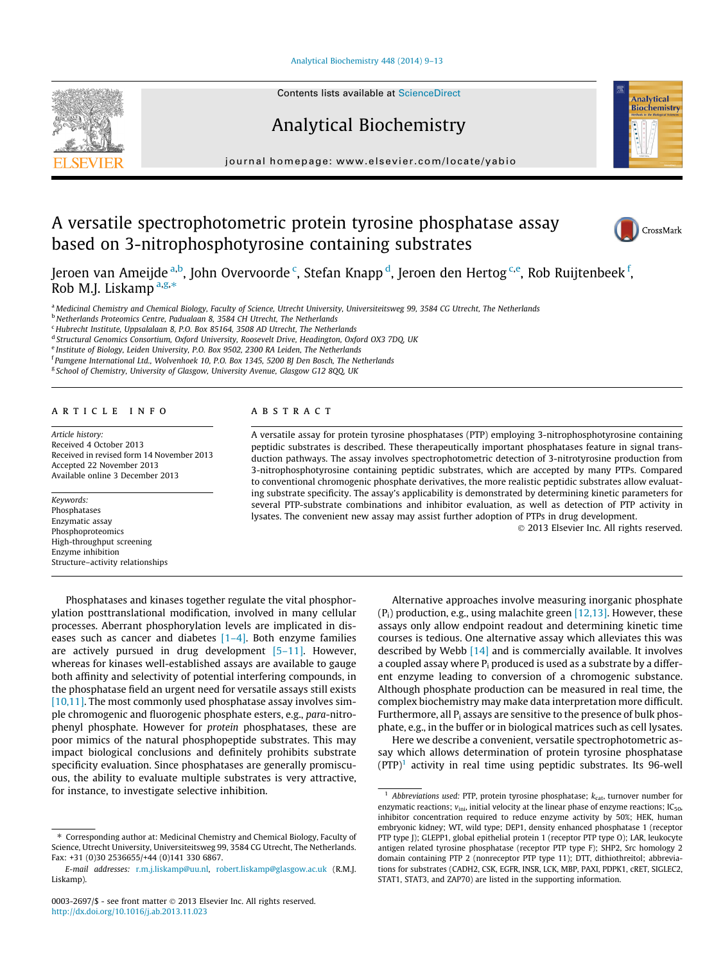[Analytical Biochemistry 448 \(2014\) 9–13](http://dx.doi.org/10.1016/j.ab.2013.11.023)



Contents lists available at [ScienceDirect](http://www.sciencedirect.com/science/journal/00032697)

# Analytical Biochemistry

journal homepage: [www.elsevier.com/locate/yabio](http://www.elsevier.com/locate/yabio)

# A versatile spectrophotometric protein tyrosine phosphatase assay based on 3-nitrophosphotyrosine containing substrates



**Analytical** Biochemistry

Jeroen van Ameijde <sup>a,b</sup>, John Overvoorde <sup>c</sup>, Stefan Knapp <sup>d</sup>, Jeroen den Hertog <sup>c,e</sup>, Rob Ruijtenbeek <sup>f</sup>, Rob M.J. Liskamp  $a,g,*$ 

a Medicinal Chemistry and Chemical Biology, Faculty of Science, Utrecht University, Universiteitsweg 99, 3584 CG Utrecht, The Netherlands

<sup>b</sup> Netherlands Proteomics Centre, Padualaan 8, 3584 CH Utrecht, The Netherlands

<sup>c</sup> Hubrecht Institute, Uppsalalaan 8, P.O. Box 85164, 3508 AD Utrecht, The Netherlands

<sup>d</sup> Structural Genomics Consortium, Oxford University, Roosevelt Drive, Headington, Oxford OX3 7DQ, UK

<sup>e</sup> Institute of Biology, Leiden University, P.O. Box 9502, 2300 RA Leiden, The Netherlands

<sup>f</sup> Pamgene International Ltd., Wolvenhoek 10, P.O. Box 1345, 5200 BJ Den Bosch, The Netherlands

<sup>g</sup> School of Chemistry, University of Glasgow, University Avenue, Glasgow G12 8QQ, UK

## article info

Article history: Received 4 October 2013 Received in revised form 14 November 2013 Accepted 22 November 2013 Available online 3 December 2013

Keywords: Phosphatases Enzymatic assay Phosphoproteomics High-throughput screening Enzyme inhibition Structure–activity relationships

# ABSTRACT

A versatile assay for protein tyrosine phosphatases (PTP) employing 3-nitrophosphotyrosine containing peptidic substrates is described. These therapeutically important phosphatases feature in signal transduction pathways. The assay involves spectrophotometric detection of 3-nitrotyrosine production from 3-nitrophosphotyrosine containing peptidic substrates, which are accepted by many PTPs. Compared to conventional chromogenic phosphate derivatives, the more realistic peptidic substrates allow evaluating substrate specificity. The assay's applicability is demonstrated by determining kinetic parameters for several PTP-substrate combinations and inhibitor evaluation, as well as detection of PTP activity in lysates. The convenient new assay may assist further adoption of PTPs in drug development.

- 2013 Elsevier Inc. All rights reserved.

Phosphatases and kinases together regulate the vital phosphorylation posttranslational modification, involved in many cellular processes. Aberrant phosphorylation levels are implicated in diseases such as cancer and diabetes  $[1-4]$ . Both enzyme families are actively pursued in drug development [\[5–11\].](#page-4-0) However, whereas for kinases well-established assays are available to gauge both affinity and selectivity of potential interfering compounds, in the phosphatase field an urgent need for versatile assays still exists [\[10,11\]](#page-4-0). The most commonly used phosphatase assay involves simple chromogenic and fluorogenic phosphate esters, e.g., para-nitrophenyl phosphate. However for protein phosphatases, these are poor mimics of the natural phosphopeptide substrates. This may impact biological conclusions and definitely prohibits substrate specificity evaluation. Since phosphatases are generally promiscuous, the ability to evaluate multiple substrates is very attractive, for instance, to investigate selective inhibition.

Alternative approaches involve measuring inorganic phosphate  $(P_i)$  production, e.g., using malachite green [\[12,13\]](#page-4-0). However, these assays only allow endpoint readout and determining kinetic time courses is tedious. One alternative assay which alleviates this was described by Webb [\[14\]](#page-4-0) and is commercially available. It involves a coupled assay where  $P_i$  produced is used as a substrate by a different enzyme leading to conversion of a chromogenic substance. Although phosphate production can be measured in real time, the complex biochemistry may make data interpretation more difficult. Furthermore, all  $P_i$  assays are sensitive to the presence of bulk phosphate, e.g., in the buffer or in biological matrices such as cell lysates.

Here we describe a convenient, versatile spectrophotometric assay which allows determination of protein tyrosine phosphatase  $(PTP)^1$  activity in real time using peptidic substrates. Its 96-well

<sup>⇑</sup> Corresponding author at: Medicinal Chemistry and Chemical Biology, Faculty of Science, Utrecht University, Universiteitsweg 99, 3584 CG Utrecht, The Netherlands. Fax: +31 (0)30 2536655/+44 (0)141 330 6867.

E-mail addresses: [r.m.j.liskamp@uu.nl,](mailto:r.m.j.liskamp@uu.nl) [robert.liskamp@glasgow.ac.uk](mailto:robert.liskamp@glasgow.ac.uk) (R.M.J. Liskamp).

<sup>0003-2697/\$ -</sup> see front matter © 2013 Elsevier Inc. All rights reserved. <http://dx.doi.org/10.1016/j.ab.2013.11.023>

<sup>&</sup>lt;sup>1</sup> Abbreviations used: PTP, protein tyrosine phosphatase;  $k_{\text{cat}}$ , turnover number for enzymatic reactions;  $v_{\text{ini}}$ , initial velocity at the linear phase of enzyme reactions; IC<sub>50</sub>, inhibitor concentration required to reduce enzyme activity by 50%; HEK, human embryonic kidney; WT, wild type; DEP1, density enhanced phosphatase 1 (receptor PTP type J); GLEPP1, global epithelial protein 1 (receptor PTP type O); LAR, leukocyte antigen related tyrosine phosphatase (receptor PTP type F); SHP2, Src homology 2 domain containing PTP 2 (nonreceptor PTP type 11); DTT, dithiothreitol; abbreviations for substrates (CADH2, CSK, EGFR, INSR, LCK, MBP, PAXI, PDPK1, cRET, SIGLEC2, STAT1, STAT3, and ZAP70) are listed in the supporting information.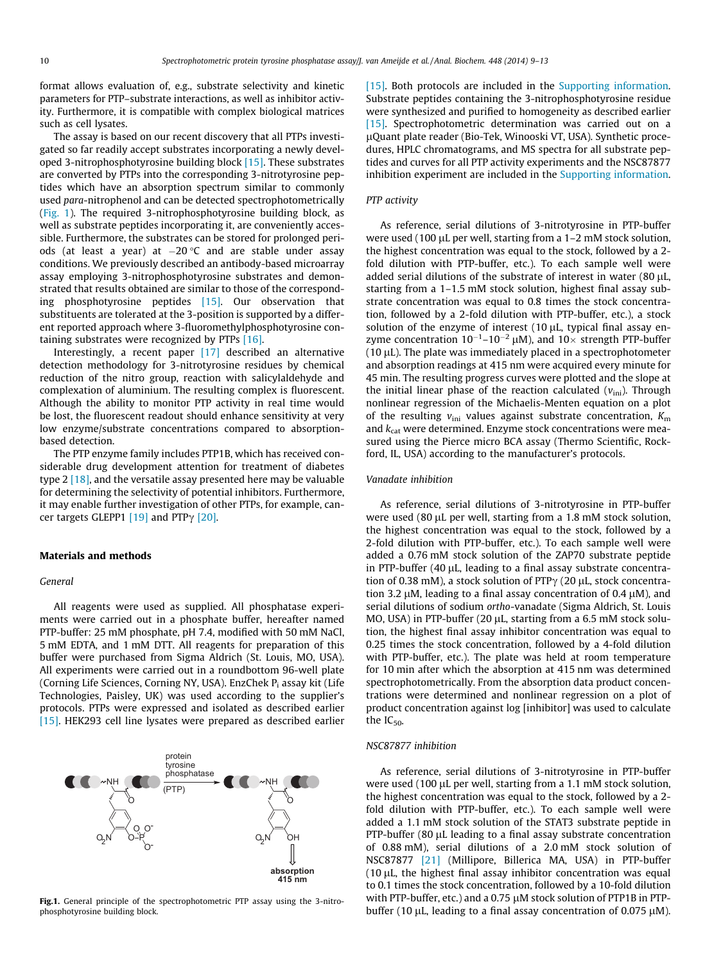format allows evaluation of, e.g., substrate selectivity and kinetic parameters for PTP–substrate interactions, as well as inhibitor activity. Furthermore, it is compatible with complex biological matrices such as cell lysates.

The assay is based on our recent discovery that all PTPs investigated so far readily accept substrates incorporating a newly developed 3-nitrophosphotyrosine building block [\[15\].](#page-4-0) These substrates are converted by PTPs into the corresponding 3-nitrotyrosine peptides which have an absorption spectrum similar to commonly used para-nitrophenol and can be detected spectrophotometrically (Fig. 1). The required 3-nitrophosphotyrosine building block, as well as substrate peptides incorporating it, are conveniently accessible. Furthermore, the substrates can be stored for prolonged periods (at least a year) at -20 C and are stable under assay conditions. We previously described an antibody-based microarray assay employing 3-nitrophosphotyrosine substrates and demonstrated that results obtained are similar to those of the corresponding phosphotyrosine peptides [\[15\].](#page-4-0) Our observation that substituents are tolerated at the 3-position is supported by a different reported approach where 3-fluoromethylphosphotyrosine containing substrates were recognized by PTPs [\[16\].](#page-4-0)

Interestingly, a recent paper [\[17\]](#page-4-0) described an alternative detection methodology for 3-nitrotyrosine residues by chemical reduction of the nitro group, reaction with salicylaldehyde and complexation of aluminium. The resulting complex is fluorescent. Although the ability to monitor PTP activity in real time would be lost, the fluorescent readout should enhance sensitivity at very low enzyme/substrate concentrations compared to absorptionbased detection.

The PTP enzyme family includes PTP1B, which has received considerable drug development attention for treatment of diabetes type  $2 \lfloor 18 \rfloor$ , and the versatile assay presented here may be valuable for determining the selectivity of potential inhibitors. Furthermore, it may enable further investigation of other PTPs, for example, cancer targets GLEPP1  $[19]$  and PTP $\gamma$   $[20]$ .

#### Materials and methods

## General

All reagents were used as supplied. All phosphatase experiments were carried out in a phosphate buffer, hereafter named PTP-buffer: 25 mM phosphate, pH 7.4, modified with 50 mM NaCl, 5 mM EDTA, and 1 mM DTT. All reagents for preparation of this buffer were purchased from Sigma Aldrich (St. Louis, MO, USA). All experiments were carried out in a roundbottom 96-well plate (Corning Life Sciences, Corning NY, USA). EnzChek P<sub>i</sub> assay kit (Life Technologies, Paisley, UK) was used according to the supplier's protocols. PTPs were expressed and isolated as described earlier [\[15\]](#page-4-0). HEK293 cell line lysates were prepared as described earlier



Fig.1. General principle of the spectrophotometric PTP assay using the 3-nitrophosphotyrosine building block.

[\[15\]](#page-4-0). Both protocols are included in the Supporting information. Substrate peptides containing the 3-nitrophosphotyrosine residue were synthesized and purified to homogeneity as described earlier [\[15\]](#page-4-0). Spectrophotometric determination was carried out on a lQuant plate reader (Bio-Tek, Winooski VT, USA). Synthetic procedures, HPLC chromatograms, and MS spectra for all substrate peptides and curves for all PTP activity experiments and the NSC87877 inhibition experiment are included in the Supporting information.

#### PTP activity

As reference, serial dilutions of 3-nitrotyrosine in PTP-buffer were used (100  $\mu$ L per well, starting from a 1–2 mM stock solution, the highest concentration was equal to the stock, followed by a 2 fold dilution with PTP-buffer, etc.). To each sample well were added serial dilutions of the substrate of interest in water  $(80 \mu L,$ starting from a 1–1.5 mM stock solution, highest final assay substrate concentration was equal to 0.8 times the stock concentration, followed by a 2-fold dilution with PTP-buffer, etc.), a stock solution of the enzyme of interest  $(10 \mu L,$  typical final assay enzyme concentration  $10^{-1}$ – $10^{-2}$   $\mu$ M), and  $10\times$  strength PTP-buffer  $(10 \mu L)$ . The plate was immediately placed in a spectrophotometer and absorption readings at 415 nm were acquired every minute for 45 min. The resulting progress curves were plotted and the slope at the initial linear phase of the reaction calculated  $(v_{\text{ini}})$ . Through nonlinear regression of the Michaelis-Menten equation on a plot of the resulting  $v_{\text{ini}}$  values against substrate concentration,  $K_{\text{m}}$ and  $k_{\text{cat}}$  were determined. Enzyme stock concentrations were measured using the Pierce micro BCA assay (Thermo Scientific, Rockford, IL, USA) according to the manufacturer's protocols.

### Vanadate inhibition

As reference, serial dilutions of 3-nitrotyrosine in PTP-buffer were used (80 µL per well, starting from a 1.8 mM stock solution, the highest concentration was equal to the stock, followed by a 2-fold dilution with PTP-buffer, etc.). To each sample well were added a 0.76 mM stock solution of the ZAP70 substrate peptide in PTP-buffer  $(40 \mu L,$  leading to a final assay substrate concentration of 0.38 mM), a stock solution of PTP $\gamma$  (20 µL, stock concentration 3.2  $\mu$ M, leading to a final assay concentration of 0.4  $\mu$ M), and serial dilutions of sodium ortho-vanadate (Sigma Aldrich, St. Louis MO, USA) in PTP-buffer (20  $\mu$ L, starting from a 6.5 mM stock solution, the highest final assay inhibitor concentration was equal to 0.25 times the stock concentration, followed by a 4-fold dilution with PTP-buffer, etc.). The plate was held at room temperature for 10 min after which the absorption at 415 nm was determined spectrophotometrically. From the absorption data product concentrations were determined and nonlinear regression on a plot of product concentration against log [inhibitor] was used to calculate the  $IC_{50}$ .

## NSC87877 inhibition

As reference, serial dilutions of 3-nitrotyrosine in PTP-buffer were used (100  $\mu$ L per well, starting from a 1.1 mM stock solution, the highest concentration was equal to the stock, followed by a 2 fold dilution with PTP-buffer, etc.). To each sample well were added a 1.1 mM stock solution of the STAT3 substrate peptide in PTP-buffer (80 µL leading to a final assay substrate concentration of 0.88 mM), serial dilutions of a 2.0 mM stock solution of NSC87877 [\[21\]](#page-4-0) (Millipore, Billerica MA, USA) in PTP-buffer  $(10 \mu L,$  the highest final assay inhibitor concentration was equal to 0.1 times the stock concentration, followed by a 10-fold dilution with PTP-buffer, etc.) and a  $0.75 \mu$ M stock solution of PTP1B in PTPbuffer (10  $\mu$ L, leading to a final assay concentration of 0.075  $\mu$ M).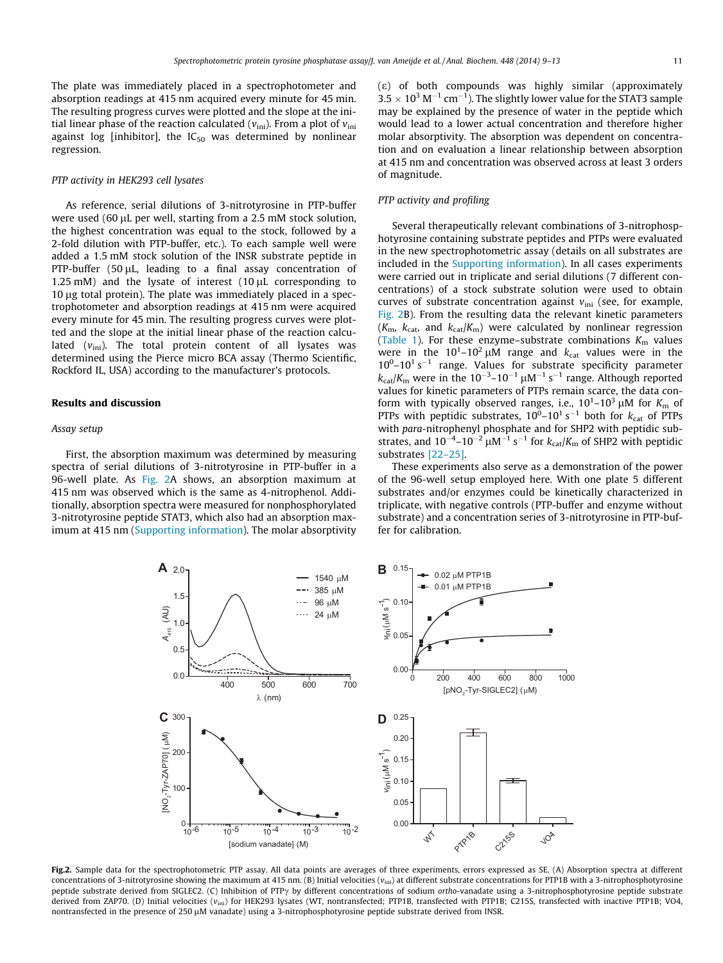<span id="page-2-0"></span>The plate was immediately placed in a spectrophotometer and absorption readings at 415 nm acquired every minute for 45 min. The resulting progress curves were plotted and the slope at the initial linear phase of the reaction calculated ( $v_{\text{ini}}$ ). From a plot of  $v_{\text{ini}}$ against log [inhibitor], the  $IC_{50}$  was determined by nonlinear regression.

### PTP activity in HEK293 cell lysates

As reference, serial dilutions of 3-nitrotyrosine in PTP-buffer were used (60 µL per well, starting from a 2.5 mM stock solution, the highest concentration was equal to the stock, followed by a 2-fold dilution with PTP-buffer, etc.). To each sample well were added a 1.5 mM stock solution of the INSR substrate peptide in PTP-buffer (50  $\mu$ L, leading to a final assay concentration of 1.25 mM) and the lysate of interest  $(10 \mu L$  corresponding to  $10 \mu$ g total protein). The plate was immediately placed in a spectrophotometer and absorption readings at 415 nm were acquired every minute for 45 min. The resulting progress curves were plotted and the slope at the initial linear phase of the reaction calculated  $(v_{\text{ini}})$ . The total protein content of all lysates was determined using the Pierce micro BCA assay (Thermo Scientific, Rockford IL, USA) according to the manufacturer's protocols.

## Results and discussion

## Assay setup

First, the absorption maximum was determined by measuring spectra of serial dilutions of 3-nitrotyrosine in PTP-buffer in a 96-well plate. As Fig. 2A shows, an absorption maximum at 415 nm was observed which is the same as 4-nitrophenol. Additionally, absorption spectra were measured for nonphosphorylated 3-nitrotyrosine peptide STAT3, which also had an absorption maximum at 415 nm (Supporting information). The molar absorptivity (e) of both compounds was highly similar (approximately  $3.5 \times 10^3$  M $^{-1}$  cm $^{-1}$ ). The slightly lower value for the STAT3 sample may be explained by the presence of water in the peptide which would lead to a lower actual concentration and therefore higher molar absorptivity. The absorption was dependent on concentration and on evaluation a linear relationship between absorption at 415 nm and concentration was observed across at least 3 orders of magnitude.

# PTP activity and profiling

Several therapeutically relevant combinations of 3-nitrophosphotyrosine containing substrate peptides and PTPs were evaluated in the new spectrophotometric assay (details on all substrates are included in the Supporting information). In all cases experiments were carried out in triplicate and serial dilutions (7 different concentrations) of a stock substrate solution were used to obtain curves of substrate concentration against  $v_{\text{ini}}$  (see, for example, Fig. 2B). From the resulting data the relevant kinetic parameters  $(K<sub>m</sub>, k<sub>cat</sub>, and k<sub>cat</sub>/K<sub>m</sub>)$  were calculated by nonlinear regression ([Table 1](#page-3-0)). For these enzyme-substrate combinations  $K<sub>m</sub>$  values were in the  $10^{1}$ – $10^{2}$   $\mu$ M range and  $k_{cat}$  values were in the  $10^0 - 10^1$  s<sup> $-1$ </sup> range. Values for substrate specificity parameter  $k_{\text{cat}}/K_{\text{m}}$  were in the 10<sup>-3</sup>-10<sup>-1</sup>  $\mu$ M<sup>-1</sup> s<sup>-1</sup> range. Although reported values for kinetic parameters of PTPs remain scarce, the data conform with typically observed ranges, i.e.,  $10^1$ – $10^3 \mu$ M for  $K_m$  of PTPs with peptidic substrates,  $10^0$ – $10^1$  s<sup>-1</sup> both for  $k_{cat}$  of PTPs with para-nitrophenyl phosphate and for SHP2 with peptidic substrates, and  $10^{-4}$ – $10^{-2}$   $\mu$ M<sup>–1</sup> s<sup>–1</sup> for  $k_{cat}/K_m$  of SHP2 with peptidic substrates [\[22–25\].](#page-4-0)

These experiments also serve as a demonstration of the power of the 96-well setup employed here. With one plate 5 different substrates and/or enzymes could be kinetically characterized in triplicate, with negative controls (PTP-buffer and enzyme without substrate) and a concentration series of 3-nitrotyrosine in PTP-buffer for calibration.



Fig.2. Sample data for the spectrophotometric PTP assay. All data points are averages of three experiments, errors expressed as SE. (A) Absorption spectra at different concentrations of 3-nitrotyrosine showing the maximum at 415 nm. (B) Initial velocities ( $v_{\text{ini}}$ ) at different substrate concentrations for PTP1B with a 3-nitrophosphotyrosine peptide substrate derived from SIGLEC2. (C) Inhibition of PTP $\gamma$  by different concentrations of sodium ortho-vanadate using a 3-nitrophosphotyrosine peptide substrate derived from ZAP70. (D) Initial velocities (v<sub>ini</sub>) for HEK293 lysates (WT, nontransfected; PTP1B, transfected with PTP1B; C215S, transfected with inactive PTP1B; VO4, nontransfected in the presence of 250 µM vanadate) using a 3-nitrophosphotyrosine peptide substrate derived from INSR.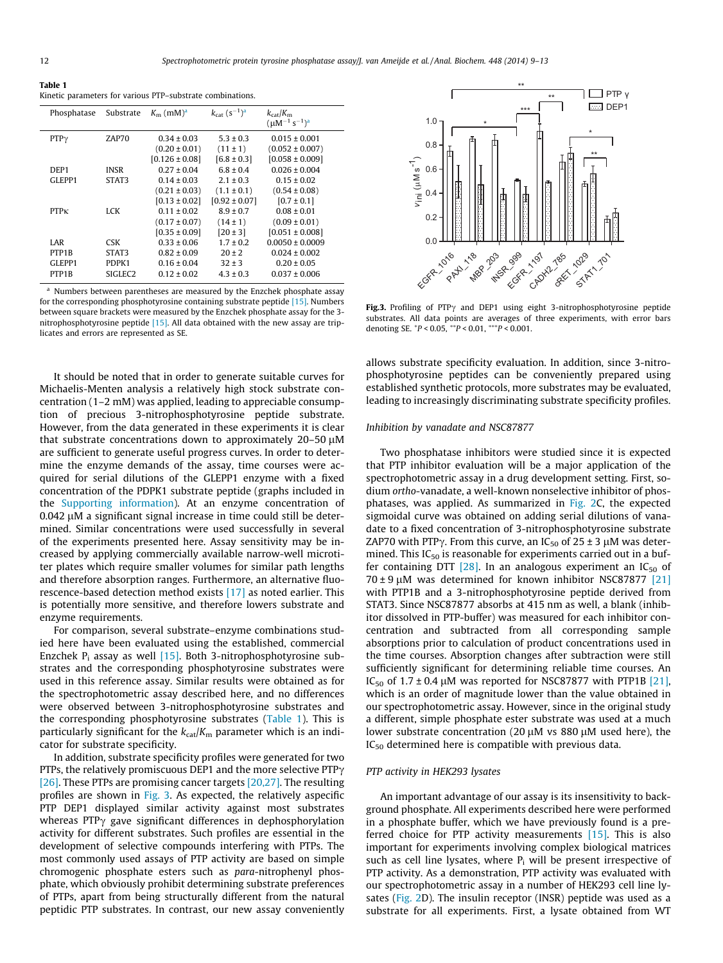<span id="page-3-0"></span>

| Table 1                                                   |  |
|-----------------------------------------------------------|--|
| Kinetic parameters for various PTP-substrate combinations |  |

| Phosphatase      | Substrate           | $K_{\rm m}$ (mM) <sup>a</sup> | $k_{\text{cat}} (s^{-1})^{\text{a}}$ | $k_{\text{cat}}/K_{\text{m}}$<br>$(uM^{-1} s^{-1})^a$ |
|------------------|---------------------|-------------------------------|--------------------------------------|-------------------------------------------------------|
| $PTP\gamma$      | ZAP70               | $0.34 \pm 0.03$               | $5.3 \pm 0.3$                        | $0.015 \pm 0.001$                                     |
|                  |                     | $(0.20 \pm 0.01)$             | $(11 \pm 1)$                         | $(0.052 \pm 0.007)$                                   |
|                  |                     | $[0.126 \pm 0.08]$            | $[6.8 \pm 0.3]$                      | $[0.058 \pm 0.009]$                                   |
| DEP <sub>1</sub> | <b>INSR</b>         | $0.27 \pm 0.04$               | $6.8 \pm 0.4$                        | $0.026 \pm 0.004$                                     |
| GLEPP1           | STAT3               | $0.14 \pm 0.03$               | $2.1 \pm 0.3$                        | $0.15 \pm 0.02$                                       |
|                  |                     | $(0.21 \pm 0.03)$             | $(1.1 \pm 0.1)$                      | $(0.54 \pm 0.08)$                                     |
|                  |                     | $[0.13 \pm 0.02]$             | $[0.92 \pm 0.07]$                    | $[0.7 \pm 0.1]$                                       |
| PTPK             | LCK                 | $0.11 \pm 0.02$               | $8.9 \pm 0.7$                        | $0.08 \pm 0.01$                                       |
|                  |                     | $(0.17 \pm 0.07)$             | $(14 \pm 1)$                         | $(0.09 \pm 0.01)$                                     |
|                  |                     | $[0.35 \pm 0.09]$             | $[20 \pm 3]$                         | $[0.051 \pm 0.008]$                                   |
| LAR              | <b>CSK</b>          | $0.33 \pm 0.06$               | $1.7 \pm 0.2$                        | $0.0050 \pm 0.0009$                                   |
| PTP1B            | STAT3               | $0.82 \pm 0.09$               | $20 \pm 2$                           | $0.024 \pm 0.002$                                     |
| GLEPP1           | PDPK1               | $0.16 \pm 0.04$               | $32 + 3$                             | $0.20 \pm 0.05$                                       |
| PTP1B            | SIGLEC <sub>2</sub> | $0.12 \pm 0.02$               | $4.3 \pm 0.3$                        | $0.037 \pm 0.006$                                     |

<sup>a</sup> Numbers between parentheses are measured by the Enzchek phosphate assay for the corresponding phosphotyrosine containing substrate peptide [\[15\].](#page-4-0) Numbers between square brackets were measured by the Enzchek phosphate assay for the 3 nitrophosphotyrosine peptide [\[15\].](#page-4-0) All data obtained with the new assay are triplicates and errors are represented as SE.

It should be noted that in order to generate suitable curves for Michaelis-Menten analysis a relatively high stock substrate concentration (1–2 mM) was applied, leading to appreciable consumption of precious 3-nitrophosphotyrosine peptide substrate. However, from the data generated in these experiments it is clear that substrate concentrations down to approximately  $20-50 \mu M$ are sufficient to generate useful progress curves. In order to determine the enzyme demands of the assay, time courses were acquired for serial dilutions of the GLEPP1 enzyme with a fixed concentration of the PDPK1 substrate peptide (graphs included in the Supporting information). At an enzyme concentration of  $0.042 \mu$ M a significant signal increase in time could still be determined. Similar concentrations were used successfully in several of the experiments presented here. Assay sensitivity may be increased by applying commercially available narrow-well microtiter plates which require smaller volumes for similar path lengths and therefore absorption ranges. Furthermore, an alternative fluorescence-based detection method exists [\[17\]](#page-4-0) as noted earlier. This is potentially more sensitive, and therefore lowers substrate and enzyme requirements.

For comparison, several substrate–enzyme combinations studied here have been evaluated using the established, commercial Enzchek  $P_i$  assay as well [\[15\].](#page-4-0) Both 3-nitrophosphotyrosine substrates and the corresponding phosphotyrosine substrates were used in this reference assay. Similar results were obtained as for the spectrophotometric assay described here, and no differences were observed between 3-nitrophosphotyrosine substrates and the corresponding phosphotyrosine substrates (Table 1). This is particularly significant for the  $k_{cat}/K_m$  parameter which is an indicator for substrate specificity.

In addition, substrate specificity profiles were generated for two PTPs, the relatively promiscuous DEP1 and the more selective  $PTP\gamma$ [\[26\]](#page-4-0). These PTPs are promising cancer targets [\[20,27\].](#page-4-0) The resulting profiles are shown in Fig. 3. As expected, the relatively aspecific PTP DEP1 displayed similar activity against most substrates whereas  $PTPy$  gave significant differences in dephosphorylation activity for different substrates. Such profiles are essential in the development of selective compounds interfering with PTPs. The most commonly used assays of PTP activity are based on simple chromogenic phosphate esters such as para-nitrophenyl phosphate, which obviously prohibit determining substrate preferences of PTPs, apart from being structurally different from the natural peptidic PTP substrates. In contrast, our new assay conveniently



Fig.3. Profiling of PTP $\gamma$  and DEP1 using eight 3-nitrophosphotyrosine peptide substrates. All data points are averages of three experiments, with error bars denoting SE.  $^{*}P$  < 0.05,  $^{**}P$  < 0.01,  $^{***}P$  < 0.001.

allows substrate specificity evaluation. In addition, since 3-nitrophosphotyrosine peptides can be conveniently prepared using established synthetic protocols, more substrates may be evaluated, leading to increasingly discriminating substrate specificity profiles.

#### Inhibition by vanadate and NSC87877

Two phosphatase inhibitors were studied since it is expected that PTP inhibitor evaluation will be a major application of the spectrophotometric assay in a drug development setting. First, sodium ortho-vanadate, a well-known nonselective inhibitor of phosphatases, was applied. As summarized in [Fig. 2](#page-2-0)C, the expected sigmoidal curve was obtained on adding serial dilutions of vanadate to a fixed concentration of 3-nitrophosphotyrosine substrate ZAP70 with PTP $\gamma$ . From this curve, an IC<sub>50</sub> of 25 ± 3  $\mu$ M was determined. This  $IC_{50}$  is reasonable for experiments carried out in a buffer containing DTT  $[28]$ . In an analogous experiment an IC<sub>50</sub> of  $70 \pm 9 \mu$ M was determined for known inhibitor NSC87877 [\[21\]](#page-4-0) with PTP1B and a 3-nitrophosphotyrosine peptide derived from STAT3. Since NSC87877 absorbs at 415 nm as well, a blank (inhibitor dissolved in PTP-buffer) was measured for each inhibitor concentration and subtracted from all corresponding sample absorptions prior to calculation of product concentrations used in the time courses. Absorption changes after subtraction were still sufficiently significant for determining reliable time courses. An IC<sub>50</sub> of 1.7  $\pm$  0.4  $\mu$ M was reported for NSC87877 with PTP1B [\[21\],](#page-4-0) which is an order of magnitude lower than the value obtained in our spectrophotometric assay. However, since in the original study a different, simple phosphate ester substrate was used at a much lower substrate concentration (20  $\mu$ M vs 880  $\mu$ M used here), the IC<sub>50</sub> determined here is compatible with previous data.

## PTP activity in HEK293 lysates

An important advantage of our assay is its insensitivity to background phosphate. All experiments described here were performed in a phosphate buffer, which we have previously found is a preferred choice for PTP activity measurements [\[15\]](#page-4-0). This is also important for experiments involving complex biological matrices such as cell line lysates, where  $P_i$  will be present irrespective of PTP activity. As a demonstration, PTP activity was evaluated with our spectrophotometric assay in a number of HEK293 cell line lysates ([Fig. 2](#page-2-0)D). The insulin receptor (INSR) peptide was used as a substrate for all experiments. First, a lysate obtained from WT